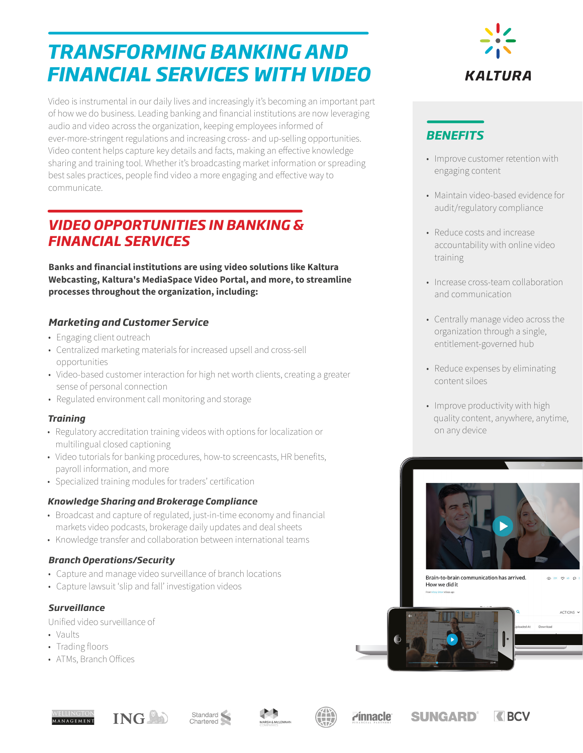# *TRANSFORMING BANKING AND FINANCIAL SERVICES WITH VIDEO*

Video is instrumental in our daily lives and increasingly it's becoming an important part of how we do business. Leading banking and financial institutions are now leveraging audio and video across the organization, keeping employees informed of ever-more-stringent regulations and increasing cross- and up-selling opportunities. Video content helps capture key details and facts, making an effective knowledge sharing and training tool. Whether it's broadcasting market information or spreading best sales practices, people find video a more engaging and effective way to communicate.

# *VIDEO OPPORTUNITIES IN BANKING & FINANCIAL SERVICES*

**Banks and financial institutions are using video solutions like Kaltura Webcasting, Kaltura's MediaSpace Video Portal, and more, to streamline processes throughout the organization, including:**

### *Marketing and Customer Service*

- Engaging client outreach
- Centralized marketing materials for increased upsell and cross-sell opportunities
- Video-based customer interaction for high net worth clients, creating a greater sense of personal connection
- Regulated environment call monitoring and storage

### *Training*

- Regulatory accreditation training videos with options for localization or multilingual closed captioning
- Video tutorials for banking procedures, how-to screencasts, HR benefits, payroll information, and more
- Specialized training modules for traders' certification

### *Knowledge Sharing and Brokerage Compliance*

- Broadcast and capture of regulated, just-in-time economy and financial markets video podcasts, brokerage daily updates and deal sheets
- Knowledge transfer and collaboration between international teams

### *Branch Operations/Security*

- Capture and manage video surveillance of branch locations
- Capture lawsuit 'slip and fall' investigation videos

### *Surveillance*

Unified video surveillance of

- Vaults
- Trading floors
- ATMs, Branch Offices



### *BENEFITS*

- Improve customer retention with engaging content
- Maintain video-based evidence for audit/regulatory compliance
- Reduce costs and increase accountability with online video training
- Increase cross-team collaboration and communication
- Centrally manage video across the organization through a single, entitlement-governed hub
- Reduce expenses by eliminating content siloes
- Improve productivity with high quality content, anywhere, anytime, on any device